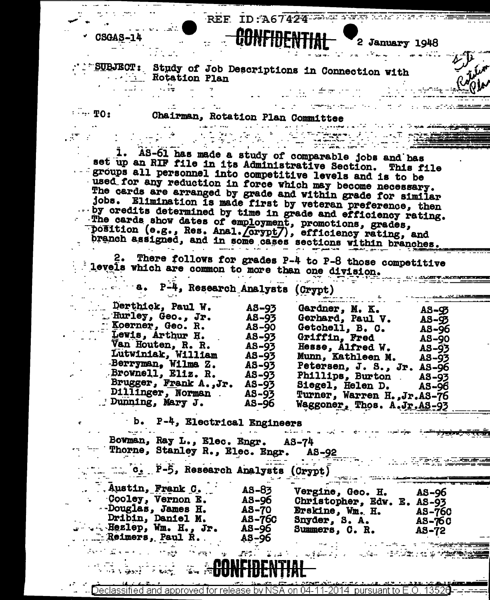|                                                        |                                   | REF ID: A67424      |                                                                                                                             |                        |
|--------------------------------------------------------|-----------------------------------|---------------------|-----------------------------------------------------------------------------------------------------------------------------|------------------------|
|                                                        |                                   |                     |                                                                                                                             |                        |
| CSGAS-14                                               |                                   | <u> AANFINENTIA</u> | 2 January 1948                                                                                                              |                        |
|                                                        |                                   |                     |                                                                                                                             |                        |
|                                                        |                                   |                     |                                                                                                                             |                        |
| $\mathcal{L} = \mathcal{L} \left( \mathcal{L} \right)$ |                                   |                     | SUBJECT: Study of Job Descriptions in Connection with                                                                       |                        |
|                                                        | Rotation Plan                     |                     |                                                                                                                             |                        |
|                                                        |                                   |                     |                                                                                                                             |                        |
|                                                        |                                   |                     |                                                                                                                             |                        |
| $\cdots$ TO:                                           | Chairman, Rotation Plan Committee |                     |                                                                                                                             |                        |
|                                                        |                                   |                     |                                                                                                                             |                        |
|                                                        |                                   |                     | in Terre                                                                                                                    |                        |
|                                                        |                                   |                     |                                                                                                                             |                        |
|                                                        |                                   |                     | 1. AS-61 has made a study of comparable jobs and has                                                                        |                        |
|                                                        |                                   |                     | set up an RIF file in its Administrative Section. This file                                                                 |                        |
|                                                        |                                   |                     | groups all personnel into competitive levels and is to be                                                                   |                        |
|                                                        |                                   |                     | used for any reduction in force which may become necessary.                                                                 |                        |
|                                                        |                                   |                     | The cards are arranged by grade and within grade for similar<br>jobs. Elimination is made first by veteran preference, then |                        |
|                                                        |                                   |                     | $\cdots$ by credits determined by time in grade and efficiency rating.                                                      |                        |
|                                                        |                                   |                     | The cards show dates of employment, promotions, grades,                                                                     |                        |
|                                                        |                                   |                     | position (e.g., Res. Anal. Corypt7), efficiency rating, and                                                                 |                        |
|                                                        |                                   |                     | branch assigned, and in some cases sections within branches.                                                                |                        |
|                                                        |                                   |                     |                                                                                                                             |                        |
|                                                        |                                   |                     | 2. There follows for grades P-4 to P-8 those competitive                                                                    |                        |
|                                                        |                                   |                     | levels which are common to more than one division.                                                                          |                        |
|                                                        |                                   |                     |                                                                                                                             |                        |
|                                                        | P-4, Research Analysts (Crypt)    |                     |                                                                                                                             |                        |
|                                                        | Derthick, Paul W.                 | AS-93               |                                                                                                                             |                        |
|                                                        | . Hurley, Geo., Jr.               | $AS-93$             | Gardner, M. K.<br>Gerhard, Paul V.                                                                                          | $A5 - 92$              |
|                                                        | Koerner, Geo. R.                  | <b>AS-90</b>        | Getchell, B. C.                                                                                                             | $AB - 95$<br>$A3 - 96$ |
|                                                        | Levis, Arthur H.                  | $AS - 93$           | Griffin, Fred                                                                                                               | $AS - 90$              |
|                                                        | Van Houten, R. R.                 | AS-93               | Hesse. Alfred W.                                                                                                            | AS-03                  |

| - Koerner, Geo. R.     | <b>AS-90</b> | Getchell, B. C.<br>AS-96       |  |
|------------------------|--------------|--------------------------------|--|
| Lewis, Arthur H.       | AS-93        | Griffin, Fred<br>AS-90         |  |
| Van Houten, R. R.      | AS-93        | Hesse, Alfred W.<br>AS-93      |  |
| Lutwiniak, William     | A8-93        | Munn, Kathleen M.<br>$A3 - 93$ |  |
| - Berryman, Wilma Z.   | AS-93        | Petersen, J. S., Jr. AS-96     |  |
| Brownell, Eliz. R.     | AS-93        | Phillips, Burton               |  |
| Brugger, Frank A., Jr. | AS-93        | AS-93                          |  |
| Dillinger, Norman      | AS-93        | Siegel, Helen D. AS-96         |  |
| Dunning, Mary J.       | AS-96        | Turner, Warren H., Jr.AS-76    |  |
|                        |              | Waggoner. Thos. A.Jr.AS-03     |  |

 $\sim$  .

÷÷

فصفصنية

**Turner of American**<br>The Control Sections of

b. P-4, Electrical Engineers الموارد والمناور

 $\mathbb{R}^2$ 

¢

 $\sim$  . ŵ

।<br>पुरुष का पश्चिम के संस्कृति करने हैं।<br>पुरुष का पश्चिम के संस्कृति करने हैं।

|  | And we have a set of the set of $\mathcal{A}$                                                                                                                                                                                  | the company of the company | and the state of the state of the state of the state of the state of the state of the state of the state of the |
|--|--------------------------------------------------------------------------------------------------------------------------------------------------------------------------------------------------------------------------------|----------------------------|-----------------------------------------------------------------------------------------------------------------|
|  | Bowman, Ray L., Elec. Engr. AS-74                                                                                                                                                                                              |                            | - Thorne, Stanley R., Elec. Engr. AS-92                                                                         |
|  |                                                                                                                                                                                                                                |                            | and the second control of the second                                                                            |
|  | with the search and the search of the search of the search of the search of the search of the search of the search of the search of the search of the search of the search of the search of the search of the search of the se |                            |                                                                                                                 |

 $\overline{C_2}$   $\overline{P}$ -5, Research Analysts  $(Crypt)$ 

| Austin, Frank C.<br>. Cooley, Vernon E.<br>-Douglas, James H.<br>Dribin, Daniel M.<br>$\cdots$ . Hezlep, Wm. H., Jr.<br>Reimers, Paul R. | $A3 - 83$<br>AS-96<br><b>AS-70</b><br>AS-760<br>AS-96<br>AS-96 | Vergine, Geo. H.<br>Christopher, Edw. E. AS-93<br>Erskine, Wm. H.<br>Snyder, S.A.<br>Summers, C. R. | $AS - 96$<br>AS-760<br>AS-760<br>AS-72 |
|------------------------------------------------------------------------------------------------------------------------------------------|----------------------------------------------------------------|-----------------------------------------------------------------------------------------------------|----------------------------------------|
| atentiale eta megallea artikoa eta eta eta egintza eta eta egintza                                                                       |                                                                |                                                                                                     |                                        |

<u>NEIDENTIAL</u> HH<br>HH

في المستقدم عن المستقدمة المستقدمة المستقدمة المستقدمة المستقدمة المستقدمة المستقدمة المستقدمة المستقدمة المستق<br>- المستقدمة المستقدمة المستقدمة المستقدمة المستقدمة المستقدمة المستقدمة المستقدمة المستقدمة المستقدمة المستقد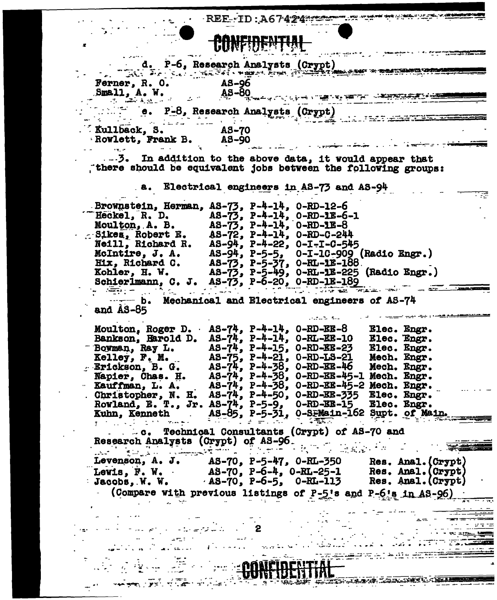

 $\mathbb{R}^2$ 

| $\bullet$                                  | <b>CUNFIDERITYLE</b>                                                                                                                               |
|--------------------------------------------|----------------------------------------------------------------------------------------------------------------------------------------------------|
|                                            | d. P-6, Research Analysts (Crypt)<br>And Property the Search Property of the Search School of the Search School of the Search Search School of the |
|                                            |                                                                                                                                                    |
| Ferner, R. O.                              | AS-96                                                                                                                                              |
| Small, A. W.<br>ാം പിടക്കും.               | $A5 - 80$                                                                                                                                          |
|                                            | e. P-8, Research Analysts (Crypt)                                                                                                                  |
|                                            |                                                                                                                                                    |
| Kullback, S.                               | A3-70                                                                                                                                              |
| Rowlett, Frank B.<br>ix. e                 | <b>AS-90</b>                                                                                                                                       |
|                                            |                                                                                                                                                    |
|                                            | there should be equivalent jobs between the following groups:                                                                                      |
|                                            |                                                                                                                                                    |
|                                            | .a. Electrical engineers in AS-73 and AS-94                                                                                                        |
|                                            | Brownstein, Herman, AS-73, P-4-14, O-RD-12-6                                                                                                       |
| Heckel, R. D.                              | AS-73, P-4-14, O-RD-1E-6-1                                                                                                                         |
| Moulton, A. B.                             | $AS-73$ , $P-4-14$ , $O-RD-1E-8$                                                                                                                   |
|                                            | Sikes, Robert E. AS-72, P-4-14, O-RD-C-244                                                                                                         |
| Neill, Richard R.                          | $AS-94$ , $P-4-22$ , $O-I-I-C-545$                                                                                                                 |
| McIntire, J. A.                            | AS-94, P-5-5, 0-I-10-909 (Radio Engr.)                                                                                                             |
| Hix, Richard C.                            | AS-73, P-5-37, O-RL-1E-188.                                                                                                                        |
|                                            | Kohler, H. W. AS-73, P-5-49, 0-RL-1E-225 (Radio Engr.)                                                                                             |
|                                            | Schierlmann, C. J. AS-73, P-6-20, 0-RD-1E-189                                                                                                      |
| b.                                         | Mechanical and Electrical engineers of AS-74                                                                                                       |
| and <b>AS-85</b>                           |                                                                                                                                                    |
|                                            | an dia 1970.                                                                                                                                       |
|                                            | Moulton, Roger D. $AS-74$ , P-4-14, O-RD-EE-8<br>Elec. Engr.                                                                                       |
| Bankson, Harold D.                         | AS-74, P-4-14, O-RL-EE-10<br>Elec. Engr.                                                                                                           |
| Bowman, Ray L.                             | AS-74, P-4-15, O-RD-EE-23<br>Elec. Engr.                                                                                                           |
| Kelley, F. M.                              | AS-75, P-4-21, 0-RD-LS-21 Mech. Engr.                                                                                                              |
| Erickson, B. G.                            | AS-74, P-4-38, O-RD-EE-46 Mech. Engr.                                                                                                              |
| Napier, Chas. H.                           | AS-74, P-4-38, O-RD-EE-45-1 Mech. Engr.                                                                                                            |
| Kauffman, L. A.                            | AS-74, P-4-38, O-RD-EE-45-2 Mech. Engr.                                                                                                            |
|                                            | Christopher, N. H. AS-74, P-4-50, O-RD-EE-335 Elec. Engr.<br>Rowland, E. T., Jr. AS-74, P-5-9, O-RD-EE-15 Elec. Engr.<br>Elec. Engr.               |
|                                            | Kuhn, Kenneth AS-85, P-5-31, 0-SEMain-162 Supt. of Main.                                                                                           |
|                                            | $\mathcal{L} = \mathcal{L}$                                                                                                                        |
|                                            |                                                                                                                                                    |
| Research Analysts (Crypt) of AS-96.        |                                                                                                                                                    |
| والإيادة المتحافظ المستقرر المتواطن الأسمر |                                                                                                                                                    |
|                                            | Levenson, A. J. AS-70, P-5-47, 0-RL-350<br>Res. Anal. (Crypt)                                                                                      |
|                                            | Lewis, F. W. $AS-70$ , P-6-4, 0-RL-25-1 Res. Anal. (Crypt)                                                                                         |
|                                            | Jacobs, W. W. AS-70, P-6-5, 0-RL-113 Res. Anal. (Crypt)                                                                                            |
|                                            | (Compare with previous listings of P-5's and P-6's in AS-96)                                                                                       |
|                                            |                                                                                                                                                    |
|                                            |                                                                                                                                                    |
|                                            |                                                                                                                                                    |
|                                            |                                                                                                                                                    |
|                                            |                                                                                                                                                    |
|                                            |                                                                                                                                                    |
|                                            |                                                                                                                                                    |
|                                            |                                                                                                                                                    |
|                                            |                                                                                                                                                    |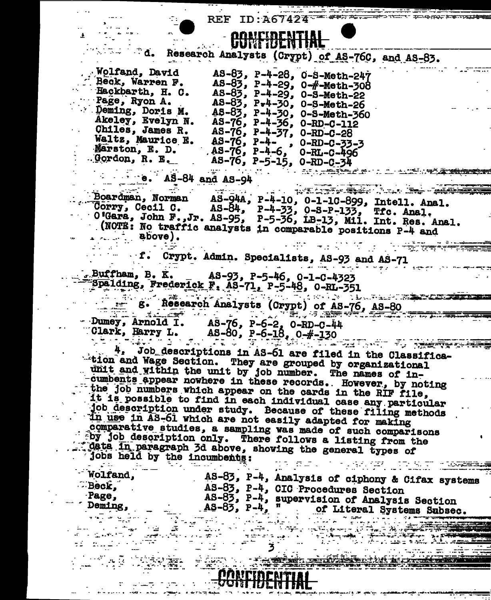|                                       | <b>REF ID: A67424</b>                                                                                                                                                                |
|---------------------------------------|--------------------------------------------------------------------------------------------------------------------------------------------------------------------------------------|
|                                       | CONFIDENTIA                                                                                                                                                                          |
| d.                                    |                                                                                                                                                                                      |
|                                       | Research Analysts (Crypt) of AS-76C, and AS-83.                                                                                                                                      |
| <b>Wolfand, David</b>                 | AS-83, P-4-28, 0-S-Meth-247                                                                                                                                                          |
| Beck, Warren F.<br>Hackbarth, H. C.   | $A5-\frac{3}{2}$ , P-4-29, 0-#-Meth-308                                                                                                                                              |
| Page, Ryon A.                         | AS-83, P-4-29, 0-S-Meth-22<br>$A8-83$ , $P-4-30$ , 0-8-Meth-26                                                                                                                       |
| . Deming, Doris M.                    | AS-83, P-4-30, 0-S-Meth-360                                                                                                                                                          |
| Akeley, Evelyn N.                     | $A5 - 76$ , $P - 4 - 56$ , $O - RD - C - 112$                                                                                                                                        |
| Chiles, James R.<br>Waltz, Maurice E. | $AS-76$ , $P-4-37$ , $O-RD-C-28$                                                                                                                                                     |
| Marston, E. D.                        | $A5 - 76$ , $P - 4 -$ , $O - RD - C - 33 - 3$<br>$-45-76$ , P-4-6, 0-RL-C-496                                                                                                        |
| . Gordon, R. E.                       | $AS-76$ , $P-5-15$ , $O-RD-C-34$                                                                                                                                                     |
| $e.$ AS-84 and AS-94                  |                                                                                                                                                                                      |
|                                       | wiliyay Samudz.                                                                                                                                                                      |
|                                       | Boardman, Norman AS-94A, P-4-10, 0-1-10-899, Intell. Anal.<br>Corry, Cecil C. AS-84, P-4-33, 0-8-P-133, Tfc. Anal.<br>O'Gara, John F.,Jr. AS-95, P-5-36, LB-13, Mil. Int. Res. Anal. |
|                                       |                                                                                                                                                                                      |
|                                       |                                                                                                                                                                                      |
| $.$ above).                           | (NOTE: No traffic analysts in comparable positions P-4 and                                                                                                                           |
|                                       |                                                                                                                                                                                      |
|                                       | f. Crypt. Admin. Specialists, AS-93 and AS-71                                                                                                                                        |
|                                       | $5.8$ uffham, B. K. $A8-93$ , P-5-46, Q-1-C-4323                                                                                                                                     |
|                                       | "Spalding, Frederick F. AS-71, P-5-48, 0-RL-351                                                                                                                                      |
|                                       | an sa North Lands and The Co<br>g. Research Analysts (Crypt) of AS-76, AS-80                                                                                                         |
| ▁▁▂ <del>▂</del>                      |                                                                                                                                                                                      |
|                                       | - Dumey, Arnold I. AS-76, P-6-2, 0-RD-C-44<br>Clark, Harry L. AS-80, P-6-18, 0-#-130                                                                                                 |
|                                       |                                                                                                                                                                                      |
|                                       | Job descriptions in AS-61 are filed in the Classifica-                                                                                                                               |
|                                       | -tion and Wage Section. They are grouped by organizational                                                                                                                           |
|                                       | unit and within the unit by job number. The names of in-                                                                                                                             |
|                                       | cumbents appear nowhere in these records. However, by noting<br>the job numbers which appear on the cards in the RIF file,                                                           |
|                                       | it is possible to find in each individual case any particular                                                                                                                        |
|                                       | job description under study. Because of these filing methods                                                                                                                         |
|                                       | in use in AS-61 which are not easily adapted for making                                                                                                                              |
|                                       | comparative studies, a sampling was made of such comparisons<br>by job description only. There follows a listing from the                                                            |
|                                       | dete in paragraph 3d above, showing the general types of                                                                                                                             |
| jobs held by the incumbents:          |                                                                                                                                                                                      |
| Wolfand,                              |                                                                                                                                                                                      |
| $\mathbf{B}$ eck,                     | AS-83, P-4, Analysis of ciphony & Cifax systems<br>AS-83, P-4, CIC Procedures Section                                                                                                |
| Page,                                 | AS-83, P-4, supervision of Analysis Section                                                                                                                                          |
| Deming,                               | AS-83, P-4, " of Literal Systems Subsec.                                                                                                                                             |
|                                       | الأولى الأولاد المتحدة.<br>الأولى والمؤتمرة المراكضين                                                                                                                                |
|                                       | ने सम्मान को स्के <b>ट अं</b> क्रिकी                                                                                                                                                 |
|                                       |                                                                                                                                                                                      |
|                                       |                                                                                                                                                                                      |
|                                       | PONCIDENTIAI                                                                                                                                                                         |
|                                       | <u>ogni idlia i ml</u>                                                                                                                                                               |
|                                       |                                                                                                                                                                                      |

 $\sim$  $\ddot{\phantom{1}}$ 

 $\hat{\mathbf{r}}$